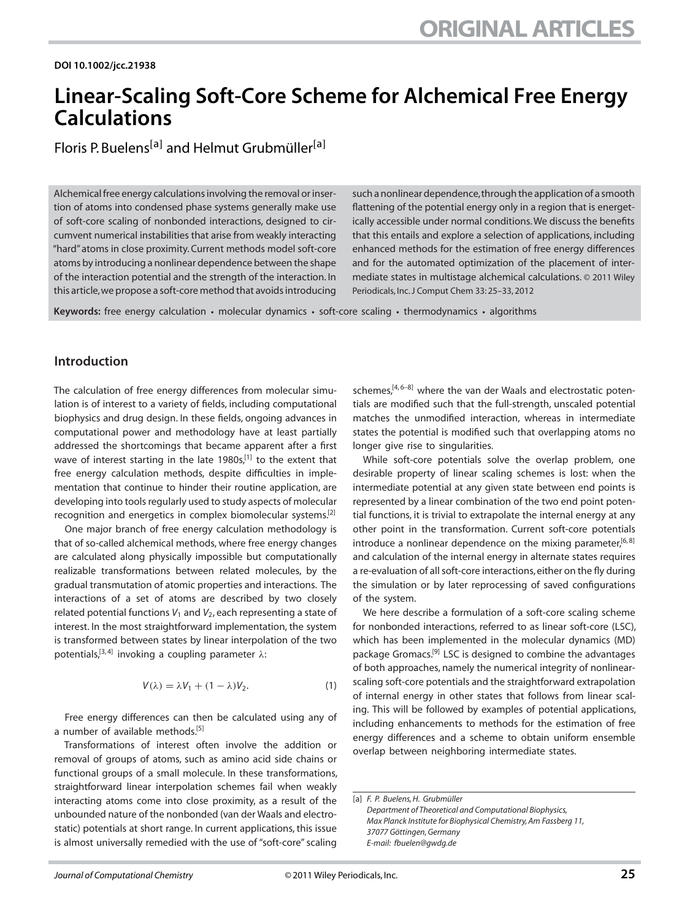# **Linear-Scaling Soft-Core Scheme for Alchemical Free Energy Calculations**

Floris P. Buelens<sup>[a]</sup> and Helmut Grubmüller<sup>[a]</sup>

Alchemical free energy calculations involving the removal or insertion of atoms into condensed phase systems generally make use of soft-core scaling of nonbonded interactions, designed to circumvent numerical instabilities that arise from weakly interacting "hard" atoms in close proximity. Current methods model soft-core atoms by introducing a nonlinear dependence between the shape of the interaction potential and the strength of the interaction. In this article,we propose a soft-core method that avoids introducing

such a nonlinear dependence,through the application of a smooth flattening of the potential energy only in a region that is energetically accessible under normal conditions.We discuss the benefits that this entails and explore a selection of applications, including enhanced methods for the estimation of free energy differences and for the automated optimization of the placement of intermediate states in multistage alchemical calculations. © 2011 Wiley Periodicals, Inc. J Comput Chem 33: 25–33, 2012

**Keywords:** free energy calculation • molecular dynamics • soft-core scaling • thermodynamics • algorithms

## **Introduction**

The calculation of free energy differences from molecular simulation is of interest to a variety of fields, including computational biophysics and drug design. In these fields, ongoing advances in computational power and methodology have at least partially addressed the shortcomings that became apparent after a first wave of interest starting in the late  $1980s<sub>i</sub>$ <sup>[1]</sup> to the extent that free energy calculation methods, despite difficulties in implementation that continue to hinder their routine application, are developing into tools regularly used to study aspects of molecular recognition and energetics in complex biomolecular systems.<sup>[2]</sup>

One major branch of free energy calculation methodology is that of so-called alchemical methods, where free energy changes are calculated along physically impossible but computationally realizable transformations between related molecules, by the gradual transmutation of atomic properties and interactions. The interactions of a set of atoms are described by two closely related potential functions  $V_1$  and  $V_2$ , each representing a state of interest. In the most straightforward implementation, the system is transformed between states by linear interpolation of the two potentials,<sup>[3,4]</sup> invoking a coupling parameter  $\lambda$ :

$$
V(\lambda) = \lambda V_1 + (1 - \lambda)V_2. \tag{1}
$$

Free energy differences can then be calculated using any of a number of available methods.<sup>[5]</sup>

Transformations of interest often involve the addition or removal of groups of atoms, such as amino acid side chains or functional groups of a small molecule. In these transformations, straightforward linear interpolation schemes fail when weakly interacting atoms come into close proximity, as a result of the unbounded nature of the nonbonded (van der Waals and electrostatic) potentials at short range. In current applications, this issue is almost universally remedied with the use of "soft-core" scaling schemes, $[4, 6-8]$  where the van der Waals and electrostatic potentials are modified such that the full-strength, unscaled potential matches the unmodified interaction, whereas in intermediate states the potential is modified such that overlapping atoms no longer give rise to singularities.

While soft-core potentials solve the overlap problem, one desirable property of linear scaling schemes is lost: when the intermediate potential at any given state between end points is represented by a linear combination of the two end point potential functions, it is trivial to extrapolate the internal energy at any other point in the transformation. Current soft-core potentials introduce a nonlinear dependence on the mixing parameter,<sup>[6,8]</sup> and calculation of the internal energy in alternate states requires a re-evaluation of all soft-core interactions, either on the fly during the simulation or by later reprocessing of saved configurations of the system.

We here describe a formulation of a soft-core scaling scheme for nonbonded interactions, referred to as linear soft-core (LSC), which has been implemented in the molecular dynamics (MD) package Gromacs.[9] LSC is designed to combine the advantages of both approaches, namely the numerical integrity of nonlinearscaling soft-core potentials and the straightforward extrapolation of internal energy in other states that follows from linear scaling. This will be followed by examples of potential applications, including enhancements to methods for the estimation of free energy differences and a scheme to obtain uniform ensemble overlap between neighboring intermediate states.

[a] *F. P. Buelens, H. Grubmüller Department of Theoretical and Computational Biophysics, Max Planck Institute for Biophysical Chemistry, Am Fassberg 11, 37077 Göttingen, Germany E-mail: fbuelen@gwdg.de*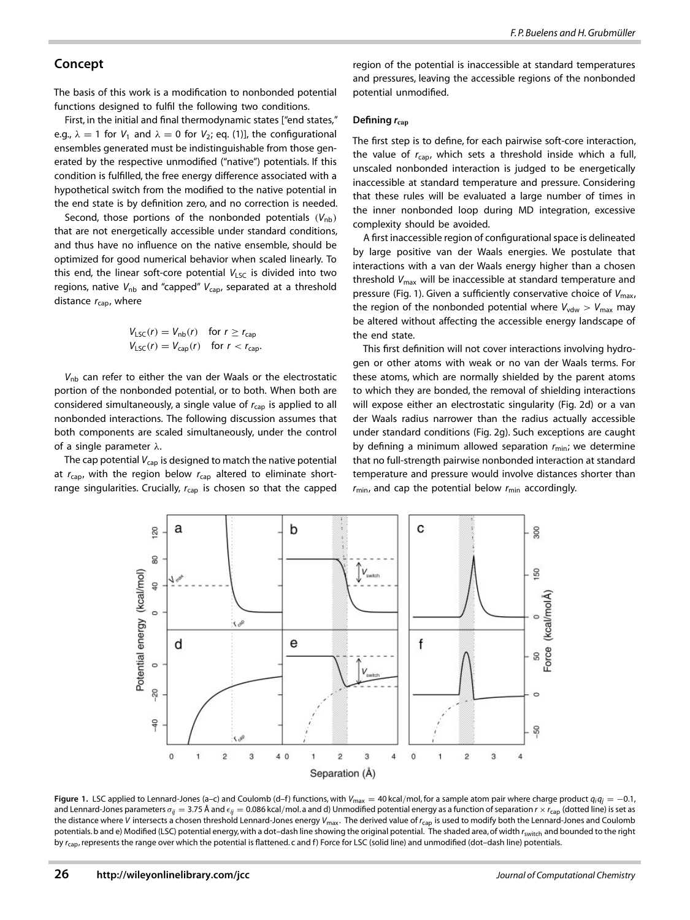## **Concept**

The basis of this work is a modification to nonbonded potential functions designed to fulfil the following two conditions.

First, in the initial and final thermodynamic states ["end states," e.g.,  $\lambda = 1$  for  $V_1$  and  $\lambda = 0$  for  $V_2$ ; eq. (1)], the configurational ensembles generated must be indistinguishable from those generated by the respective unmodified ("native") potentials. If this condition is fulfilled, the free energy difference associated with a hypothetical switch from the modified to the native potential in the end state is by definition zero, and no correction is needed.

Second, those portions of the nonbonded potentials  $(V_{nb})$ that are not energetically accessible under standard conditions, and thus have no influence on the native ensemble, should be optimized for good numerical behavior when scaled linearly. To this end, the linear soft-core potential  $V_{LSC}$  is divided into two regions, native V<sub>nb</sub> and "capped" V<sub>cap</sub>, separated at a threshold distance  $r_{cap}$ , where

$$
V_{LSC}(r) = V_{nb}(r) \quad \text{for } r \ge r_{cap}
$$
  

$$
V_{LSC}(r) = V_{cap}(r) \quad \text{for } r < r_{cap}.
$$

*V*nb can refer to either the van der Waals or the electrostatic portion of the nonbonded potential, or to both. When both are considered simultaneously, a single value of  $r_{\text{can}}$  is applied to all nonbonded interactions. The following discussion assumes that both components are scaled simultaneously, under the control of a single parameter λ.

The cap potential  $V_{cap}$  is designed to match the native potential at *r*cap, with the region below *r*cap altered to eliminate shortrange singularities. Crucially, r<sub>cap</sub> is chosen so that the capped region of the potential is inaccessible at standard temperatures and pressures, leaving the accessible regions of the nonbonded potential unmodified.

#### **Defining** *r***cap**

The first step is to define, for each pairwise soft-core interaction, the value of *r*cap, which sets a threshold inside which a full, unscaled nonbonded interaction is judged to be energetically inaccessible at standard temperature and pressure. Considering that these rules will be evaluated a large number of times in the inner nonbonded loop during MD integration, excessive complexity should be avoided.

A first inaccessible region of configurational space is delineated by large positive van der Waals energies. We postulate that interactions with a van der Waals energy higher than a chosen threshold *V*max will be inaccessible at standard temperature and pressure (Fig. 1). Given a sufficiently conservative choice of *V*max, the region of the nonbonded potential where  $V_{\text{vdw}} > V_{\text{max}}$  may be altered without affecting the accessible energy landscape of the end state.

This first definition will not cover interactions involving hydrogen or other atoms with weak or no van der Waals terms. For these atoms, which are normally shielded by the parent atoms to which they are bonded, the removal of shielding interactions will expose either an electrostatic singularity (Fig. 2d) or a van der Waals radius narrower than the radius actually accessible under standard conditions (Fig. 2g). Such exceptions are caught by defining a minimum allowed separation  $r_{\text{min}}$ ; we determine that no full-strength pairwise nonbonded interaction at standard temperature and pressure would involve distances shorter than  $r_{\text{min}}$ , and cap the potential below  $r_{\text{min}}$  accordingly.



**Figure 1.** LSC applied to Lennard-Jones (a–c) and Coulomb (d–f) functions, with  $V_{\text{max}} = 40$  kcal/mol, for a sample atom pair where charge product  $q_i q_j = -0.1$ , and Lennard-Jones parameters σ<sub>ii</sub> = 3.75 Å and  $\epsilon_{ij}$  = 0.086 kcal/mol.a and d) Unmodified potential energy as a function of separation *r* × *r<sub>cap</sub>* (dotted line) is set as the distance where *V* intersects a chosen threshold Lennard-Jones energy *V*max. The derived value of *r*cap is used to modify both the Lennard-Jones and Coulomb potentials. b and e) Modified (LSC) potential energy, with a dot-dash line showing the original potential. The shaded area, of width  $r_{\text{switch}}$  and bounded to the right by  $r_{cap}$ , represents the range over which the potential is flattened. c and f) Force for LSC (solid line) and unmodified (dot-dash line) potentials.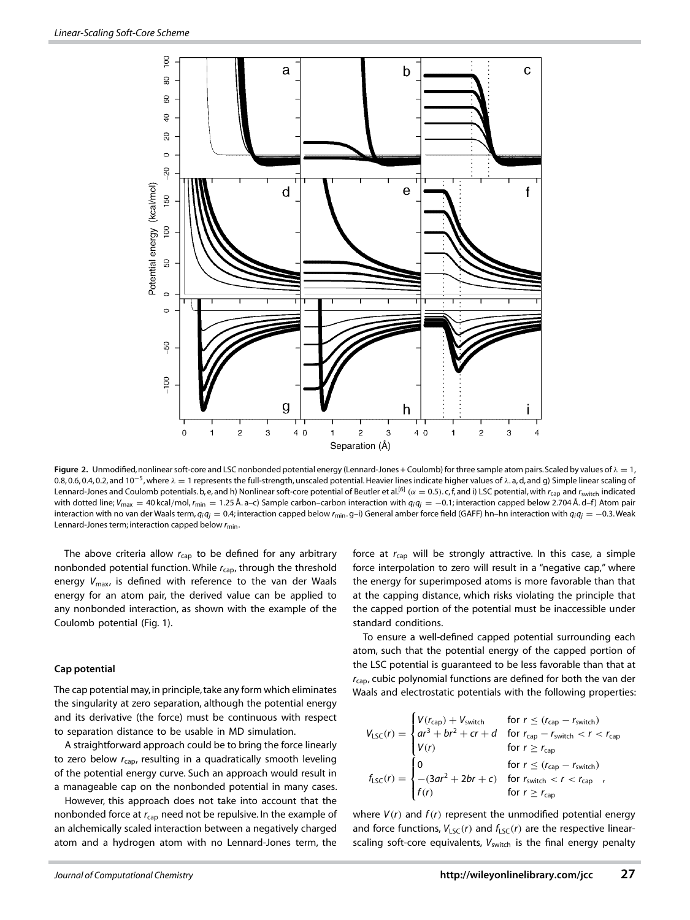

**Figure 2.** Unmodified, nonlinear soft-core and LSC nonbonded potential energy (Lennard-Jones + Coulomb) for three sample atom pairs. Scaled by values of  $\lambda = 1$ , 0.8, 0.6, 0.4, 0.2, and 10<sup>-5</sup>, where  $\lambda = 1$  represents the full-strength, unscaled potential. Heavier lines indicate higher values of  $\lambda$ . a, d, and g) Simple linear scaling of Lennard-Jones and Coulomb potentials. b, e, and h) Nonlinear soft-core potential of Beutler et al.<sup>[6]</sup> (α = 0.5). c, f, and i) LSC potential, with *r<sub>cap</sub>* and *r<sub>switch</sub>* indicated with dotted line; *V*<sub>max</sub> = 40 kcal/mol, *r*<sub>min</sub> = 1.25 Å. a–c) Sample carbon–carbon interaction with  $q_iq_i = -0.1$ ; interaction capped below 2.704 Å. d–f) Atom pair interaction with no van der Waals term, *qiqj* = 0.4; interaction capped below *r*min. g–i) General amber force field (GAFF) hn–hn interaction with *qiqj* = −0.3.Weak Lennard-Jones term; interaction capped below  $r_{\text{min}}$ .

The above criteria allow  $r_{cap}$  to be defined for any arbitrary nonbonded potential function. While *r*cap, through the threshold energy *V*max, is defined with reference to the van der Waals energy for an atom pair, the derived value can be applied to any nonbonded interaction, as shown with the example of the Coulomb potential (Fig. 1).

#### **Cap potential**

The cap potential may,in principle, take any form which eliminates the singularity at zero separation, although the potential energy and its derivative (the force) must be continuous with respect to separation distance to be usable in MD simulation.

A straightforward approach could be to bring the force linearly to zero below *r*cap, resulting in a quadratically smooth leveling of the potential energy curve. Such an approach would result in a manageable cap on the nonbonded potential in many cases.

However, this approach does not take into account that the nonbonded force at r<sub>cap</sub> need not be repulsive. In the example of an alchemically scaled interaction between a negatively charged atom and a hydrogen atom with no Lennard-Jones term, the force at r<sub>cap</sub> will be strongly attractive. In this case, a simple force interpolation to zero will result in a "negative cap," where the energy for superimposed atoms is more favorable than that at the capping distance, which risks violating the principle that the capped portion of the potential must be inaccessible under standard conditions.

To ensure a well-defined capped potential surrounding each atom, such that the potential energy of the capped portion of the LSC potential is guaranteed to be less favorable than that at  $r_{\text{cap}}$ , cubic polynomial functions are defined for both the van der Waals and electrostatic potentials with the following properties:

$$
V_{\text{LSC}}(r) = \begin{cases} V(r_{\text{cap}}) + V_{\text{switch}} & \text{for } r \le (r_{\text{cap}} - r_{\text{switch}}) \\ ar^3 + br^2 + cr + d & \text{for } r_{\text{cap}} - r_{\text{switch}} < r < r_{\text{cap}} \\ V(r) & \text{for } r \ge r_{\text{cap}} \end{cases}
$$
\n
$$
f_{\text{LSC}}(r) = \begin{cases} 0 & \text{for } r \le (r_{\text{cap}} - r_{\text{switch}}) \\ -(3ar^2 + 2br + c) & \text{for } r_{\text{switch}} < r < r_{\text{cap}} \\ f(r) & \text{for } r \ge r_{\text{cap}} \end{cases}
$$

where  $V(r)$  and  $f(r)$  represent the unmodified potential energy and force functions,  $V_{LSC}(r)$  and  $f_{LSC}(r)$  are the respective linearscaling soft-core equivalents, V<sub>switch</sub> is the final energy penalty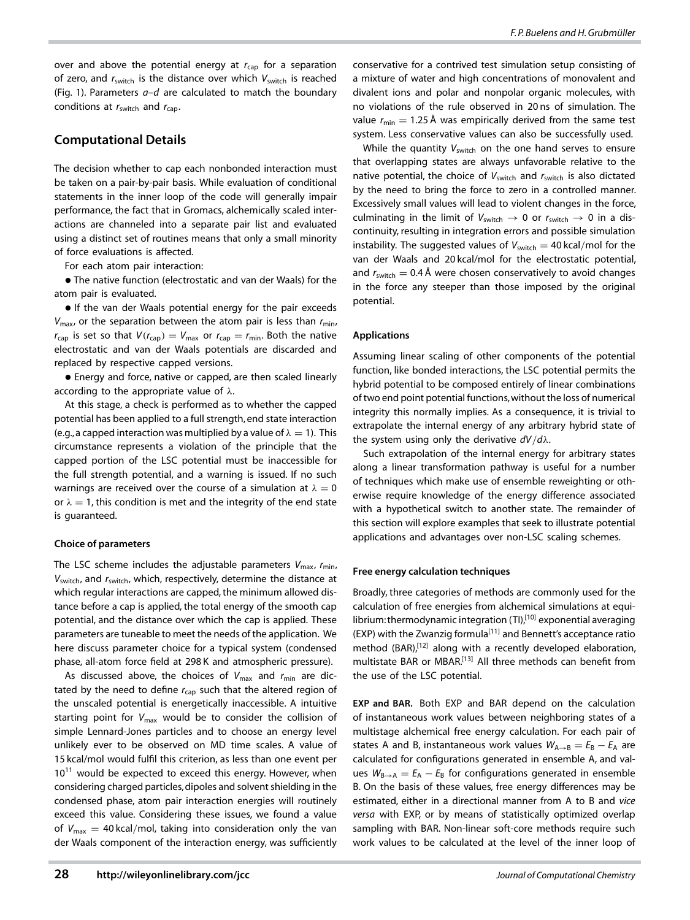over and above the potential energy at r<sub>cap</sub> for a separation of zero, and *r*switch is the distance over which *V*switch is reached (Fig. 1). Parameters *a*–*d* are calculated to match the boundary conditions at  $r_{switch}$  and  $r_{cap}$ .

# **Computational Details**

The decision whether to cap each nonbonded interaction must be taken on a pair-by-pair basis. While evaluation of conditional statements in the inner loop of the code will generally impair performance, the fact that in Gromacs, alchemically scaled interactions are channeled into a separate pair list and evaluated using a distinct set of routines means that only a small minority of force evaluations is affected.

For each atom pair interaction:

• The native function (electrostatic and van der Waals) for the atom pair is evaluated.

• If the van der Waals potential energy for the pair exceeds  $V_{\text{max}}$ , or the separation between the atom pair is less than  $r_{\text{min}}$ ,  $r_{\text{cap}}$  is set so that  $V(r_{\text{cap}}) = V_{\text{max}}$  or  $r_{\text{cap}} = r_{\text{min}}$ . Both the native electrostatic and van der Waals potentials are discarded and replaced by respective capped versions.

• Energy and force, native or capped, are then scaled linearly according to the appropriate value of  $\lambda$ .

At this stage, a check is performed as to whether the capped potential has been applied to a full strength, end state interaction (e.g., a capped interaction was multiplied by a value of  $\lambda = 1$ ). This circumstance represents a violation of the principle that the capped portion of the LSC potential must be inaccessible for the full strength potential, and a warning is issued. If no such warnings are received over the course of a simulation at  $\lambda = 0$ or  $\lambda = 1$ , this condition is met and the integrity of the end state is guaranteed.

#### **Choice of parameters**

The LSC scheme includes the adjustable parameters  $V_{\text{max}}$ ,  $r_{\text{min}}$ , *V*switch, and *r*switch, which, respectively, determine the distance at which regular interactions are capped, the minimum allowed distance before a cap is applied, the total energy of the smooth cap potential, and the distance over which the cap is applied. These parameters are tuneable to meet the needs of the application. We here discuss parameter choice for a typical system (condensed phase, all-atom force field at 298 K and atmospheric pressure).

As discussed above, the choices of V<sub>max</sub> and  $r_{\text{min}}$  are dictated by the need to define r<sub>cap</sub> such that the altered region of the unscaled potential is energetically inaccessible. A intuitive starting point for *V*max would be to consider the collision of simple Lennard-Jones particles and to choose an energy level unlikely ever to be observed on MD time scales. A value of 15 kcal/mol would fulfil this criterion, as less than one event per  $10^{11}$  would be expected to exceed this energy. However, when considering charged particles, dipoles and solvent shielding in the condensed phase, atom pair interaction energies will routinely exceed this value. Considering these issues, we found a value of *V*max = 40 kcal/mol, taking into consideration only the van der Waals component of the interaction energy, was sufficiently

conservative for a contrived test simulation setup consisting of a mixture of water and high concentrations of monovalent and divalent ions and polar and nonpolar organic molecules, with no violations of the rule observed in 20 ns of simulation. The value  $r_{\text{min}} = 1.25 \text{ Å}$  was empirically derived from the same test system. Less conservative values can also be successfully used.

While the quantity *V<sub>switch</sub>* on the one hand serves to ensure that overlapping states are always unfavorable relative to the native potential, the choice of V<sub>switch</sub> and  $r_{switch}$  is also dictated by the need to bring the force to zero in a controlled manner. Excessively small values will lead to violent changes in the force, culminating in the limit of  $V_{switch} \rightarrow 0$  or  $r_{switch} \rightarrow 0$  in a discontinuity, resulting in integration errors and possible simulation instability. The suggested values of  $V_{switch} = 40$  kcal/mol for the van der Waals and 20 kcal/mol for the electrostatic potential, and  $r_{switch} = 0.4 \text{ Å}$  were chosen conservatively to avoid changes in the force any steeper than those imposed by the original potential.

## **Applications**

Assuming linear scaling of other components of the potential function, like bonded interactions, the LSC potential permits the hybrid potential to be composed entirely of linear combinations of two end point potential functions,without the loss of numerical integrity this normally implies. As a consequence, it is trivial to extrapolate the internal energy of any arbitrary hybrid state of the system using only the derivative *dV*/*d*λ.

Such extrapolation of the internal energy for arbitrary states along a linear transformation pathway is useful for a number of techniques which make use of ensemble reweighting or otherwise require knowledge of the energy difference associated with a hypothetical switch to another state. The remainder of this section will explore examples that seek to illustrate potential applications and advantages over non-LSC scaling schemes.

#### **Free energy calculation techniques**

Broadly, three categories of methods are commonly used for the calculation of free energies from alchemical simulations at equilibrium: thermodynamic integration  $(TI)$ ,  $[10]$  exponential averaging (EXP) with the Zwanzig formula<sup>[11]</sup> and Bennett's acceptance ratio method  $(BAR)$ , <sup>[12]</sup> along with a recently developed elaboration, multistate BAR or MBAR.[13] All three methods can benefit from the use of the LSC potential.

**EXP and BAR.** Both EXP and BAR depend on the calculation of instantaneous work values between neighboring states of a multistage alchemical free energy calculation. For each pair of states A and B, instantaneous work values  $W_{A\rightarrow B} = E_B - E_A$  are calculated for configurations generated in ensemble A, and values  $W_{B\rightarrow A} = E_A - E_B$  for configurations generated in ensemble B. On the basis of these values, free energy differences may be estimated, either in a directional manner from A to B and *vice versa* with EXP, or by means of statistically optimized overlap sampling with BAR. Non-linear soft-core methods require such work values to be calculated at the level of the inner loop of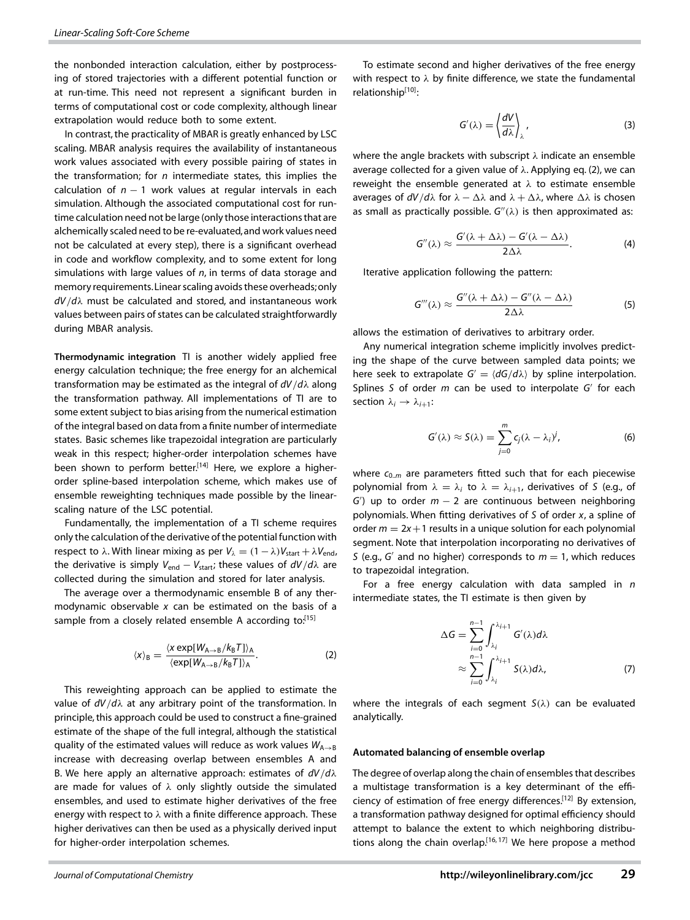the nonbonded interaction calculation, either by postprocessing of stored trajectories with a different potential function or at run-time. This need not represent a significant burden in terms of computational cost or code complexity, although linear extrapolation would reduce both to some extent.

In contrast, the practicality of MBAR is greatly enhanced by LSC scaling. MBAR analysis requires the availability of instantaneous work values associated with every possible pairing of states in the transformation; for *n* intermediate states, this implies the calculation of  $n - 1$  work values at regular intervals in each simulation. Although the associated computational cost for runtime calculation need not be large (only those interactions that are alchemically scaled need to be re-evaluated,and work values need not be calculated at every step), there is a significant overhead in code and workflow complexity, and to some extent for long simulations with large values of *n*, in terms of data storage and memory requirements.Linear scaling avoids these overheads;only *dV*/*d*λ must be calculated and stored, and instantaneous work values between pairs of states can be calculated straightforwardly during MBAR analysis.

**Thermodynamic integration** TI is another widely applied free energy calculation technique; the free energy for an alchemical transformation may be estimated as the integral of *dV*/*d*λ along the transformation pathway. All implementations of TI are to some extent subject to bias arising from the numerical estimation of the integral based on data from a finite number of intermediate states. Basic schemes like trapezoidal integration are particularly weak in this respect; higher-order interpolation schemes have been shown to perform better.<sup>[14]</sup> Here, we explore a higherorder spline-based interpolation scheme, which makes use of ensemble reweighting techniques made possible by the linearscaling nature of the LSC potential.

Fundamentally, the implementation of a TI scheme requires only the calculation of the derivative of the potential function with respect to  $\lambda$ . With linear mixing as per  $V_{\lambda} = (1 - \lambda)V_{\text{start}} + \lambda V_{\text{end}}$ the derivative is simply  $V_{\text{end}} - V_{\text{start}}$ ; these values of  $dV/d\lambda$  are collected during the simulation and stored for later analysis.

The average over a thermodynamic ensemble B of any thermodynamic observable *x* can be estimated on the basis of a sample from a closely related ensemble A according to:[15]

$$
\langle x \rangle_{\text{B}} = \frac{\langle x \exp[W_{\text{A} \to \text{B}}/k_{\text{B}}T] \rangle_{\text{A}}}{\langle \exp[W_{\text{A} \to \text{B}}/k_{\text{B}}T] \rangle_{\text{A}}}.
$$
 (2)

This reweighting approach can be applied to estimate the value of *dV*/*d*λ at any arbitrary point of the transformation. In principle, this approach could be used to construct a fine-grained estimate of the shape of the full integral, although the statistical quality of the estimated values will reduce as work values  $W_{A\rightarrow B}$ increase with decreasing overlap between ensembles A and B. We here apply an alternative approach: estimates of *dV*/*d*λ are made for values of  $\lambda$  only slightly outside the simulated ensembles, and used to estimate higher derivatives of the free energy with respect to  $\lambda$  with a finite difference approach. These higher derivatives can then be used as a physically derived input for higher-order interpolation schemes.

To estimate second and higher derivatives of the free energy with respect to  $\lambda$  by finite difference, we state the fundamental relationship<sup>[10]</sup>:

$$
G'(\lambda) = \left\langle \frac{dV}{d\lambda} \right\rangle_{\lambda'},\tag{3}
$$

where the angle brackets with subscript  $\lambda$  indicate an ensemble average collected for a given value of λ. Applying eq. (2), we can reweight the ensemble generated at  $\lambda$  to estimate ensemble averages of  $dV/d\lambda$  for  $\lambda - \Delta\lambda$  and  $\lambda + \Delta\lambda$ , where  $\Delta\lambda$  is chosen as small as practically possible. *G*"(λ) is then approximated as:

$$
G''(\lambda) \approx \frac{G'(\lambda + \Delta \lambda) - G'(\lambda - \Delta \lambda)}{2\Delta \lambda}.
$$
 (4)

Iterative application following the pattern:

$$
G'''(\lambda) \approx \frac{G''(\lambda + \Delta\lambda) - G''(\lambda - \Delta\lambda)}{2\Delta\lambda}
$$
 (5)

allows the estimation of derivatives to arbitrary order.

Any numerical integration scheme implicitly involves predicting the shape of the curve between sampled data points; we here seek to extrapolate  $G' = \langle dG/d\rangle$  by spline interpolation. Splines *S* of order *m* can be used to interpolate *G'* for each section  $\lambda_i \rightarrow \lambda_{i+1}$ :

$$
G'(\lambda) \approx S(\lambda) = \sum_{j=0}^{m} c_j (\lambda - \lambda_j)^j,
$$
 (6)

where  $c_{0,m}$  are parameters fitted such that for each piecewise polynomial from  $\lambda = \lambda_i$  to  $\lambda = \lambda_{i+1}$ , derivatives of *S* (e.g., of *G* ) up to order *m* − 2 are continuous between neighboring polynomials. When fitting derivatives of *S* of order *x*, a spline of order  $m = 2x + 1$  results in a unique solution for each polynomial segment. Note that interpolation incorporating no derivatives of *S* (e.g., *G'* and no higher) corresponds to  $m = 1$ , which reduces to trapezoidal integration.

For a free energy calculation with data sampled in *n* intermediate states, the TI estimate is then given by

$$
\Delta G = \sum_{i=0}^{n-1} \int_{\lambda_i}^{\lambda_{i+1}} G'(\lambda) d\lambda
$$

$$
\approx \sum_{i=0}^{n-1} \int_{\lambda_i}^{\lambda_{i+1}} S(\lambda) d\lambda, \tag{7}
$$

where the integrals of each segment *S*(λ) can be evaluated analytically.

#### **Automated balancing of ensemble overlap**

The degree of overlap along the chain of ensembles that describes a multistage transformation is a key determinant of the efficiency of estimation of free energy differences.[12] By extension, a transformation pathway designed for optimal efficiency should attempt to balance the extent to which neighboring distributions along the chain overlap.<sup>[16,17]</sup> We here propose a method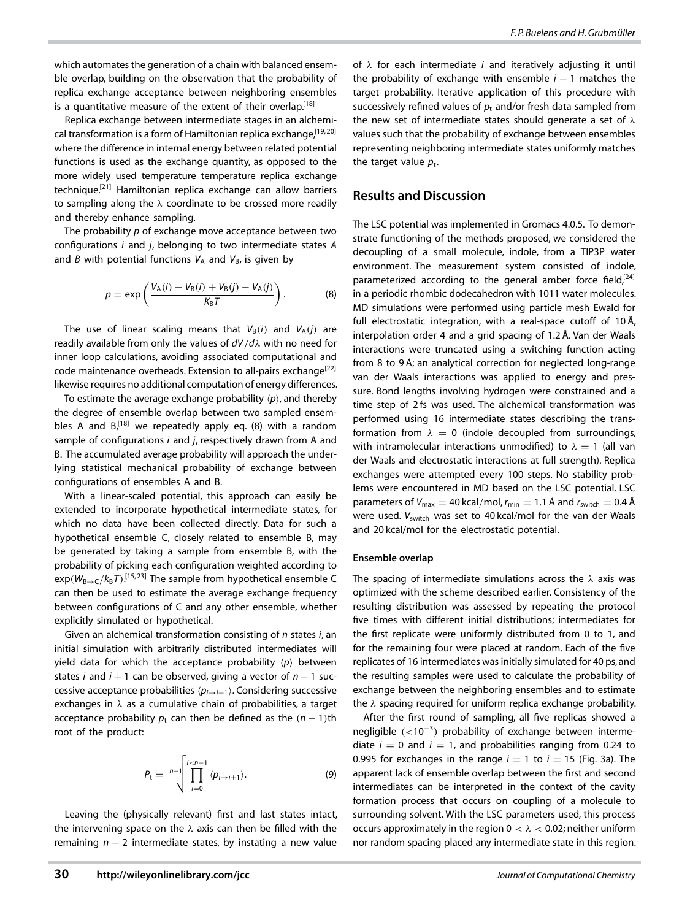which automates the generation of a chain with balanced ensemble overlap, building on the observation that the probability of replica exchange acceptance between neighboring ensembles is a quantitative measure of the extent of their overlap.  $[18]$ 

Replica exchange between intermediate stages in an alchemical transformation is a form of Hamiltonian replica exchange,<sup>[19, 20]</sup> where the difference in internal energy between related potential functions is used as the exchange quantity, as opposed to the more widely used temperature temperature replica exchange technique.<sup>[21]</sup> Hamiltonian replica exchange can allow barriers to sampling along the  $\lambda$  coordinate to be crossed more readily and thereby enhance sampling.

The probability *p* of exchange move acceptance between two configurations *i* and *j*, belonging to two intermediate states *A* and *B* with potential functions  $V_A$  and  $V_B$ , is given by

$$
p = \exp\left(\frac{V_{A}(i) - V_{B}(i) + V_{B}(j) - V_{A}(j)}{K_{B}T}\right).
$$
 (8)

The use of linear scaling means that  $V_B(i)$  and  $V_A(j)$  are readily available from only the values of *dV*/*d*λ with no need for inner loop calculations, avoiding associated computational and code maintenance overheads. Extension to all-pairs exchange<sup>[22]</sup> likewise requires no additional computation of energy differences.

To estimate the average exchange probability  $\langle p \rangle$ , and thereby the degree of ensemble overlap between two sampled ensembles A and  $B<sub>i</sub><sup>[18]</sup>$  we repeatedly apply eq. (8) with a random sample of configurations *i* and *j*, respectively drawn from A and B. The accumulated average probability will approach the underlying statistical mechanical probability of exchange between configurations of ensembles A and B.

With a linear-scaled potential, this approach can easily be extended to incorporate hypothetical intermediate states, for which no data have been collected directly. Data for such a hypothetical ensemble C, closely related to ensemble B, may be generated by taking a sample from ensemble B, with the probability of picking each configuration weighted according to  $exp(W_{B\rightarrow C}/k_BT)$ .<sup>[15, 23]</sup> The sample from hypothetical ensemble C can then be used to estimate the average exchange frequency between configurations of C and any other ensemble, whether explicitly simulated or hypothetical.

Given an alchemical transformation consisting of *n* states *i*, an initial simulation with arbitrarily distributed intermediates will yield data for which the acceptance probability  $\langle p \rangle$  between states *i* and *i* + 1 can be observed, giving a vector of *n* − 1 successive acceptance probabilities  $\langle p_{i\rightarrow i+1} \rangle$ . Considering successive exchanges in  $\lambda$  as a cumulative chain of probabilities, a target acceptance probability  $p_t$  can then be defined as the  $(n - 1)$ th root of the product:

$$
P_{t} = \sqrt[n-1]{\prod_{i=0}^{i
$$

Leaving the (physically relevant) first and last states intact, the intervening space on the  $\lambda$  axis can then be filled with the remaining *n* − 2 intermediate states, by instating a new value of λ for each intermediate *i* and iteratively adjusting it until the probability of exchange with ensemble *i* − 1 matches the target probability. Iterative application of this procedure with successively refined values of  $p_t$  and/or fresh data sampled from the new set of intermediate states should generate a set of  $\lambda$ values such that the probability of exchange between ensembles representing neighboring intermediate states uniformly matches the target value  $p_t$ .

## **Results and Discussion**

The LSC potential was implemented in Gromacs 4.0.5. To demonstrate functioning of the methods proposed, we considered the decoupling of a small molecule, indole, from a TIP3P water environment. The measurement system consisted of indole, parameterized according to the general amber force field, $[24]$ in a periodic rhombic dodecahedron with 1011 water molecules. MD simulations were performed using particle mesh Ewald for full electrostatic integration, with a real-space cutoff of 10 Å, interpolation order 4 and a grid spacing of 1.2 Å. Van der Waals interactions were truncated using a switching function acting from 8 to 9 Å; an analytical correction for neglected long-range van der Waals interactions was applied to energy and pressure. Bond lengths involving hydrogen were constrained and a time step of 2 fs was used. The alchemical transformation was performed using 16 intermediate states describing the transformation from  $\lambda = 0$  (indole decoupled from surroundings, with intramolecular interactions unmodified) to  $\lambda = 1$  (all van der Waals and electrostatic interactions at full strength). Replica exchanges were attempted every 100 steps. No stability problems were encountered in MD based on the LSC potential. LSC parameters of  $V_{\text{max}} = 40$  kcal/mol,  $r_{\text{min}} = 1.1$  Å and  $r_{\text{switch}} = 0.4$  Å were used. *V<sub>switch</sub>* was set to 40 kcal/mol for the van der Waals and 20 kcal/mol for the electrostatic potential.

#### **Ensemble overlap**

The spacing of intermediate simulations across the  $\lambda$  axis was optimized with the scheme described earlier. Consistency of the resulting distribution was assessed by repeating the protocol five times with different initial distributions; intermediates for the first replicate were uniformly distributed from 0 to 1, and for the remaining four were placed at random. Each of the five replicates of 16 intermediates was initially simulated for 40 ps,and the resulting samples were used to calculate the probability of exchange between the neighboring ensembles and to estimate the  $\lambda$  spacing required for uniform replica exchange probability.

After the first round of sampling, all five replicas showed a negligible  $(<10^{-3})$  probability of exchange between intermediate  $i = 0$  and  $i = 1$ , and probabilities ranging from 0.24 to 0.995 for exchanges in the range  $i = 1$  to  $i = 15$  (Fig. 3a). The apparent lack of ensemble overlap between the first and second intermediates can be interpreted in the context of the cavity formation process that occurs on coupling of a molecule to surrounding solvent. With the LSC parameters used, this process occurs approximately in the region  $0 < \lambda < 0.02$ ; neither uniform nor random spacing placed any intermediate state in this region.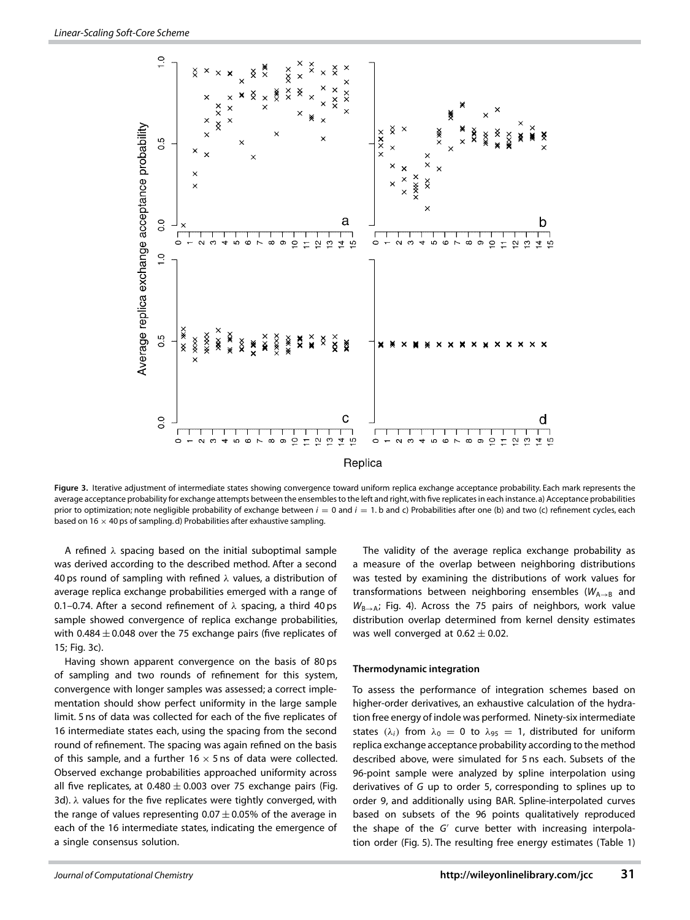

Figure 3. Iterative adjustment of intermediate states showing convergence toward uniform replica exchange acceptance probability. Each mark represents the average acceptance probability for exchange attempts between the ensembles to the left and right,with five replicates in each instance.a) Acceptance probabilities prior to optimization; note negligible probability of exchange between *i* = 0 and *i* = 1. b and c) Probabilities after one (b) and two (c) refinement cycles, each based on 16  $\times$  40 ps of sampling. d) Probabilities after exhaustive sampling.

A refined  $\lambda$  spacing based on the initial suboptimal sample was derived according to the described method. After a second 40 ps round of sampling with refined  $\lambda$  values, a distribution of average replica exchange probabilities emerged with a range of 0.1–0.74. After a second refinement of  $\lambda$  spacing, a third 40 ps sample showed convergence of replica exchange probabilities, with  $0.484 \pm 0.048$  over the 75 exchange pairs (five replicates of 15; Fig. 3c).

Having shown apparent convergence on the basis of 80 ps of sampling and two rounds of refinement for this system, convergence with longer samples was assessed; a correct implementation should show perfect uniformity in the large sample limit. 5 ns of data was collected for each of the five replicates of 16 intermediate states each, using the spacing from the second round of refinement. The spacing was again refined on the basis of this sample, and a further  $16 \times 5$  ns of data were collected. Observed exchange probabilities approached uniformity across all five replicates, at  $0.480 \pm 0.003$  over 75 exchange pairs (Fig. 3d).  $\lambda$  values for the five replicates were tightly converged, with the range of values representing  $0.07 \pm 0.05\%$  of the average in each of the 16 intermediate states, indicating the emergence of a single consensus solution.

The validity of the average replica exchange probability as a measure of the overlap between neighboring distributions was tested by examining the distributions of work values for transformations between neighboring ensembles ( $W_{A\rightarrow B}$  and *W*<sub>B→A</sub>; Fig. 4). Across the 75 pairs of neighbors, work value distribution overlap determined from kernel density estimates was well converged at  $0.62 \pm 0.02$ .

#### **Thermodynamic integration**

To assess the performance of integration schemes based on higher-order derivatives, an exhaustive calculation of the hydration free energy of indole was performed. Ninety-six intermediate states ( $\lambda_i$ ) from  $\lambda_0 = 0$  to  $\lambda_{95} = 1$ , distributed for uniform replica exchange acceptance probability according to the method described above, were simulated for 5 ns each. Subsets of the 96-point sample were analyzed by spline interpolation using derivatives of *G* up to order 5, corresponding to splines up to order 9, and additionally using BAR. Spline-interpolated curves based on subsets of the 96 points qualitatively reproduced the shape of the G' curve better with increasing interpolation order (Fig. 5). The resulting free energy estimates (Table 1)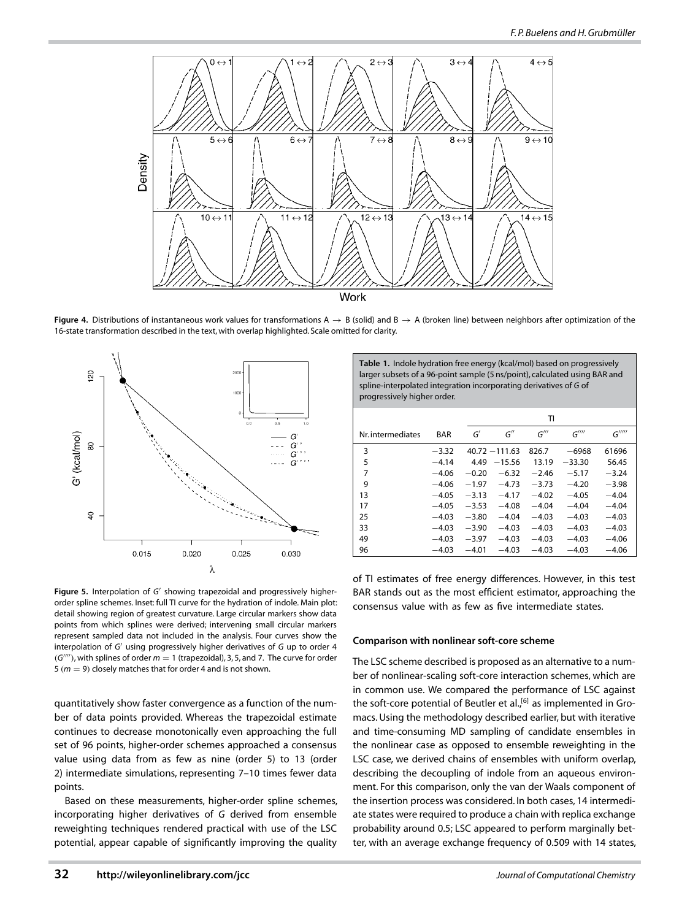

**Figure 4.** Distributions of instantaneous work values for transformations A → B (solid) and B → A (broken line) between neighbors after optimization of the 16-state transformation described in the text, with overlap highlighted. Scale omitted for clarity.



Figure 5. Interpolation of G' showing trapezoidal and progressively higherorder spline schemes. Inset: full TI curve for the hydration of indole. Main plot: detail showing region of greatest curvature. Large circular markers show data points from which splines were derived; intervening small circular markers represent sampled data not included in the analysis. Four curves show the interpolation of *G'* using progressively higher derivatives of *G* up to order 4  $(G''')$ , with splines of order  $m = 1$  (trapezoidal), 3, 5, and 7. The curve for order 5 (*m* = 9) closely matches that for order 4 and is not shown.

quantitatively show faster convergence as a function of the number of data points provided. Whereas the trapezoidal estimate continues to decrease monotonically even approaching the full set of 96 points, higher-order schemes approached a consensus value using data from as few as nine (order 5) to 13 (order 2) intermediate simulations, representing 7–10 times fewer data points.

Based on these measurements, higher-order spline schemes, incorporating higher derivatives of *G* derived from ensemble reweighting techniques rendered practical with use of the LSC potential, appear capable of significantly improving the quality

**Table 1.** Indole hydration free energy (kcal/mol) based on progressively larger subsets of a 96-point sample (5 ns/point), calculated using BAR and spline-interpolated integration incorporating derivatives of *G* of progressively higher order.

|                   |            |         | TI                 |                          |                                |                                      |  |
|-------------------|------------|---------|--------------------|--------------------------|--------------------------------|--------------------------------------|--|
| Nr. intermediates | <b>BAR</b> | G'      | $G^{\prime\prime}$ | $G^{\prime\prime\prime}$ | $G^{\prime\prime\prime\prime}$ | $G^{\prime\prime\prime\prime\prime}$ |  |
| 3                 | $-3.32$    |         | $40.72 - 111.63$   | 826.7                    | $-6968$                        | 61696                                |  |
| 5                 | $-4.14$    | 4.49    | $-15.56$           | 13.19                    | $-33.30$                       | 56.45                                |  |
| 7                 | $-4.06$    | $-0.20$ | $-6.32$            | $-2.46$                  | $-5.17$                        | $-3.24$                              |  |
| 9                 | $-4.06$    | $-1.97$ | $-4.73$            | $-3.73$                  | $-4.20$                        | $-3.98$                              |  |
| 13                | $-4.05$    | $-3.13$ | $-4.17$            | $-4.02$                  | $-4.05$                        | $-4.04$                              |  |
| 17                | $-4.05$    | $-3.53$ | $-4.08$            | $-4.04$                  | $-4.04$                        | $-4.04$                              |  |
| 25                | $-4.03$    | $-3.80$ | $-4.04$            | $-4.03$                  | $-4.03$                        | $-4.03$                              |  |
| 33                | $-4.03$    | $-3.90$ | $-4.03$            | $-4.03$                  | $-4.03$                        | $-4.03$                              |  |
| 49                | $-4.03$    | $-3.97$ | $-4.03$            | $-4.03$                  | $-4.03$                        | $-4.06$                              |  |
| 96                | $-4.03$    | $-4.01$ | $-4.03$            | $-4.03$                  | $-4.03$                        | $-4.06$                              |  |

of TI estimates of free energy differences. However, in this test BAR stands out as the most efficient estimator, approaching the consensus value with as few as five intermediate states.

## **Comparison with nonlinear soft-core scheme**

The LSC scheme described is proposed as an alternative to a number of nonlinear-scaling soft-core interaction schemes, which are in common use. We compared the performance of LSC against the soft-core potential of Beutler et al.,<sup>[6]</sup> as implemented in Gromacs. Using the methodology described earlier, but with iterative and time-consuming MD sampling of candidate ensembles in the nonlinear case as opposed to ensemble reweighting in the LSC case, we derived chains of ensembles with uniform overlap, describing the decoupling of indole from an aqueous environment. For this comparison, only the van der Waals component of the insertion process was considered. In both cases, 14 intermediate states were required to produce a chain with replica exchange probability around 0.5; LSC appeared to perform marginally better, with an average exchange frequency of 0.509 with 14 states,